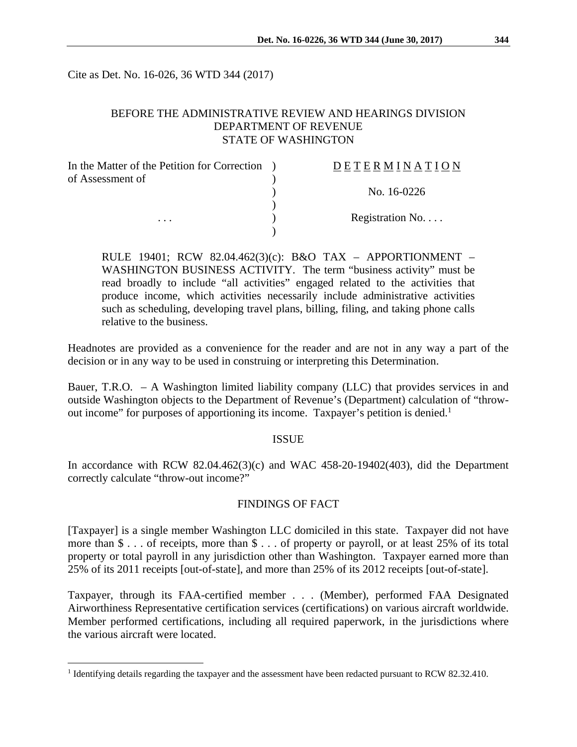Cite as Det. No. 16-026, 36 WTD 344 (2017)

### BEFORE THE ADMINISTRATIVE REVIEW AND HEARINGS DIVISION DEPARTMENT OF REVENUE STATE OF WASHINGTON

| In the Matter of the Petition for Correction | DETERMINATION   |
|----------------------------------------------|-----------------|
| of Assessment of                             |                 |
|                                              | No. 16-0226     |
|                                              |                 |
| $\cdots$                                     | Registration No |
|                                              |                 |

RULE 19401; RCW 82.04.462(3)(c): B&O TAX – APPORTIONMENT – WASHINGTON BUSINESS ACTIVITY. The term "business activity" must be read broadly to include "all activities" engaged related to the activities that produce income, which activities necessarily include administrative activities such as scheduling, developing travel plans, billing, filing, and taking phone calls relative to the business.

Headnotes are provided as a convenience for the reader and are not in any way a part of the decision or in any way to be used in construing or interpreting this Determination.

Bauer, T.R.O. – A Washington limited liability company (LLC) that provides services in and outside Washington objects to the Department of Revenue's (Department) calculation of "throwout income" for purposes of apportioning its income. Taxpayer's petition is denied.<sup>1</sup>

#### ISSUE

In accordance with RCW 82.04.462(3)(c) and WAC 458-20-19402(403), did the Department correctly calculate "throw-out income?"

### FINDINGS OF FACT

[Taxpayer] is a single member Washington LLC domiciled in this state. Taxpayer did not have more than \$ . . . of receipts, more than \$ . . . of property or payroll, or at least 25% of its total property or total payroll in any jurisdiction other than Washington. Taxpayer earned more than 25% of its 2011 receipts [out-of-state], and more than 25% of its 2012 receipts [out-of-state].

Taxpayer, through its FAA-certified member . . . (Member), performed FAA Designated Airworthiness Representative certification services (certifications) on various aircraft worldwide. Member performed certifications, including all required paperwork, in the jurisdictions where the various aircraft were located.

1

<sup>&</sup>lt;sup>1</sup> Identifying details regarding the taxpayer and the assessment have been redacted pursuant to RCW 82.32.410.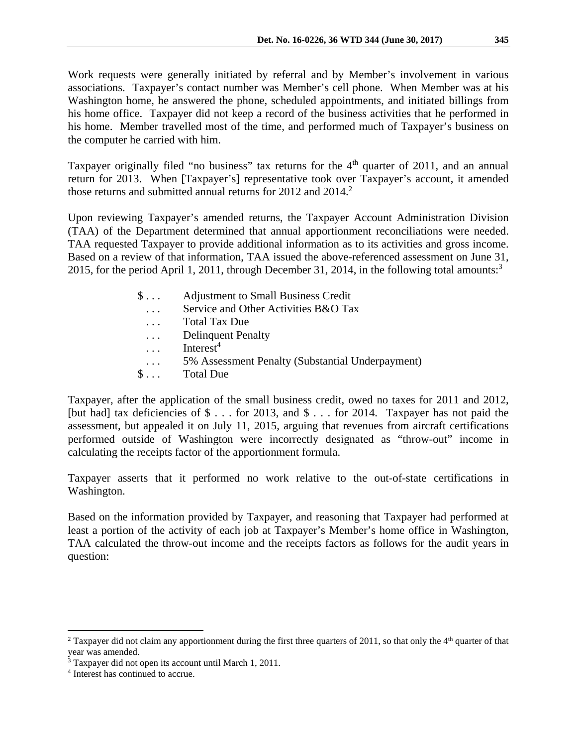Work requests were generally initiated by referral and by Member's involvement in various associations. Taxpayer's contact number was Member's cell phone. When Member was at his Washington home, he answered the phone, scheduled appointments, and initiated billings from his home office. Taxpayer did not keep a record of the business activities that he performed in his home. Member travelled most of the time, and performed much of Taxpayer's business on the computer he carried with him.

Taxpayer originally filed "no business" tax returns for the  $4<sup>th</sup>$  quarter of 2011, and an annual return for 2013. When [Taxpayer's] representative took over Taxpayer's account, it amended those returns and submitted annual returns for 2012 and 2014.<sup>2</sup>

Upon reviewing Taxpayer's amended returns, the Taxpayer Account Administration Division (TAA) of the Department determined that annual apportionment reconciliations were needed. TAA requested Taxpayer to provide additional information as to its activities and gross income. Based on a review of that information, TAA issued the above-referenced assessment on June 31, 2015, for the period April 1, 2011, through December 31, 2014, in the following total amounts:3

| $\S \dots$         | Adjustment to Small Business Credit              |
|--------------------|--------------------------------------------------|
| $\ddots$           | Service and Other Activities B&O Tax             |
| $\cdots$           | <b>Total Tax Due</b>                             |
| $\cdots$           | <b>Delinquent Penalty</b>                        |
| $\cdots$           | Interest $4$                                     |
| $\ddots$           | 5% Assessment Penalty (Substantial Underpayment) |
| $\mathbb{S} \dots$ | <b>Total Due</b>                                 |

Taxpayer, after the application of the small business credit, owed no taxes for 2011 and 2012, [but had] tax deficiencies of \$ . . . for 2013, and \$ . . . for 2014. Taxpayer has not paid the assessment, but appealed it on July 11, 2015, arguing that revenues from aircraft certifications performed outside of Washington were incorrectly designated as "throw-out" income in calculating the receipts factor of the apportionment formula.

Taxpayer asserts that it performed no work relative to the out-of-state certifications in Washington.

Based on the information provided by Taxpayer, and reasoning that Taxpayer had performed at least a portion of the activity of each job at Taxpayer's Member's home office in Washington, TAA calculated the throw-out income and the receipts factors as follows for the audit years in question:

1

<sup>&</sup>lt;sup>2</sup> Taxpayer did not claim any apportionment during the first three quarters of 2011, so that only the  $4<sup>th</sup>$  quarter of that year was amended.<br><sup>3</sup> Taxpayer did not open its account until March 1, 2011.

<sup>4</sup> Interest has continued to accrue.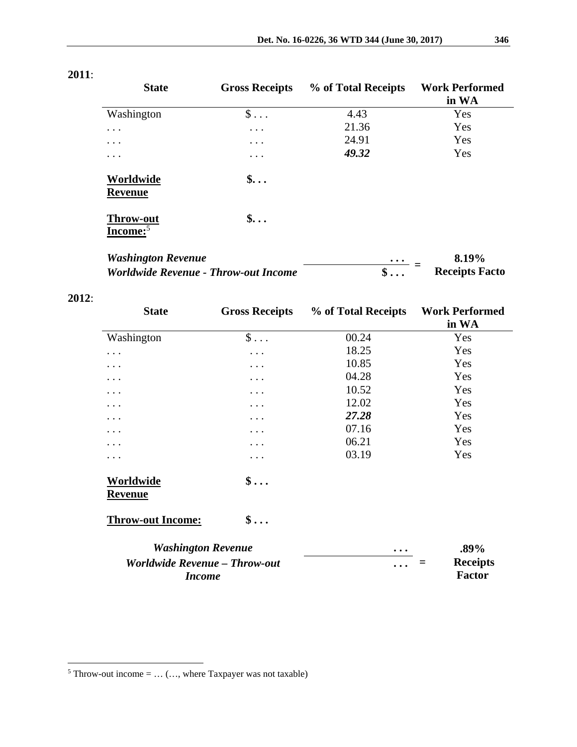| 2011:      | <b>State</b>                             | <b>Gross Receipts</b> | % of Total Receipts | <b>Work Performed</b><br>in WA |
|------------|------------------------------------------|-----------------------|---------------------|--------------------------------|
|            | Washington                               | $\$\ldots$            | 4.43                | Yes                            |
| $\ddots$ . |                                          | $\cdots$              | 21.36               | Yes                            |
| $\cdots$   |                                          | $\cdot$               | 24.91               | Yes                            |
| $\cdot$    |                                          | $\cdot$               | 49.32               | Yes                            |
|            | Worldwide<br><b>Revenue</b>              | $\mathsf{\$} \ldots$  |                     |                                |
|            | <b>Throw-out</b><br>Income: <sup>5</sup> | $\mathsf{\$} \ldots$  |                     |                                |
|            | Washington Revenue                       |                       |                     | 810%                           |

| <b>Washington Revenue</b>                   | $\cdots$                       | 8.19%                 |
|---------------------------------------------|--------------------------------|-----------------------|
| <b>Worldwide Revenue - Throw-out Income</b> | $\mathbf{D} \cdot \cdot \cdot$ | <b>Receipts Facto</b> |

# **2012**:

| <b>State</b>                       | <b>Gross Receipts</b> | % of Total Receipts | <b>Work Performed</b><br>in WA |
|------------------------------------|-----------------------|---------------------|--------------------------------|
| Washington                         | $\$\ldots$            | 00.24               | Yes                            |
|                                    | .                     | 18.25               | Yes                            |
|                                    | .                     | 10.85               | Yes                            |
|                                    | .                     | 04.28               | Yes                            |
|                                    | .                     | 10.52               | Yes                            |
|                                    | .                     | 12.02               | Yes                            |
|                                    | .                     | 27.28               | Yes                            |
|                                    | .                     | 07.16               | Yes                            |
|                                    | .                     | 06.21               | Yes                            |
|                                    | .                     | 03.19               | Yes                            |
| <b>Worldwide</b><br><b>Revenue</b> | $\$\ldots$            |                     |                                |
| <b>Throw-out Income:</b>           | $\mathbf{\$} \ldots$  |                     |                                |
| <b>Washington Revenue</b>          |                       | $\cdots$            | $.89\%$                        |
| Worldwide Revenue – Throw-out      |                       | $\cdots$            | <b>Receipts</b>                |

*Income* 

**= . . . Receipts Factor** 

 5 Throw-out income = … (…, where Taxpayer was not taxable)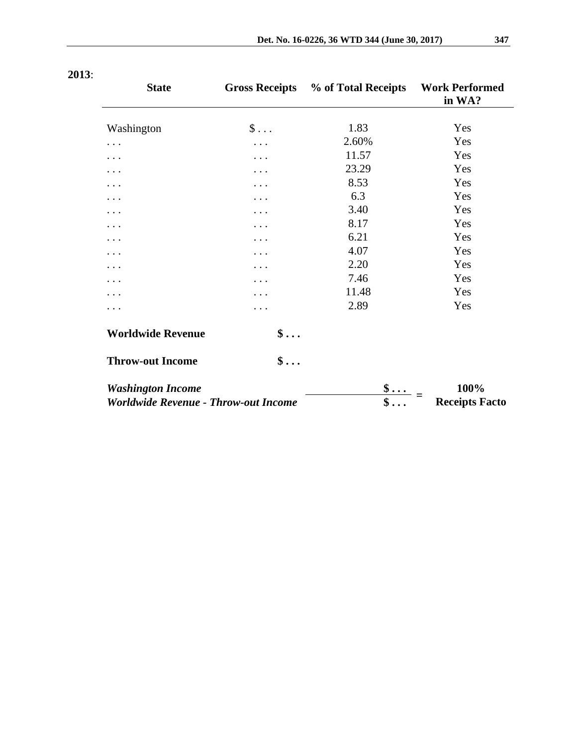| <b>State</b>                                                            | <b>Gross Receipts</b> | % of Total Receipts | <b>Work Performed</b><br>in WA? |
|-------------------------------------------------------------------------|-----------------------|---------------------|---------------------------------|
| Washington                                                              | $\$\ldots$            | 1.83                | Yes                             |
| $\cdots$                                                                | .                     | 2.60%               | Yes                             |
| .                                                                       |                       | 11.57               | Yes                             |
| .                                                                       | .                     | 23.29               | Yes                             |
| .                                                                       |                       | 8.53                | Yes                             |
| .                                                                       |                       | 6.3                 | Yes                             |
| .                                                                       |                       | 3.40                | Yes                             |
| .                                                                       |                       | 8.17                | Yes                             |
| .                                                                       | .                     | 6.21                | Yes                             |
| $\cdot$                                                                 |                       | 4.07                | Yes                             |
| .                                                                       | .                     | 2.20                | Yes                             |
| .                                                                       |                       | 7.46                | Yes                             |
| .                                                                       | .                     | 11.48               | Yes                             |
| .                                                                       | .                     | 2.89                | Yes                             |
| <b>Worldwide Revenue</b>                                                | $\$\ldots$            |                     |                                 |
| <b>Throw-out Income</b>                                                 | $\$\ldots$            |                     |                                 |
| <b>Washington Income</b><br><b>Worldwide Revenue - Throw-out Income</b> |                       | $\$\dots$<br>\$     | 100%<br><b>Receipts Facto</b>   |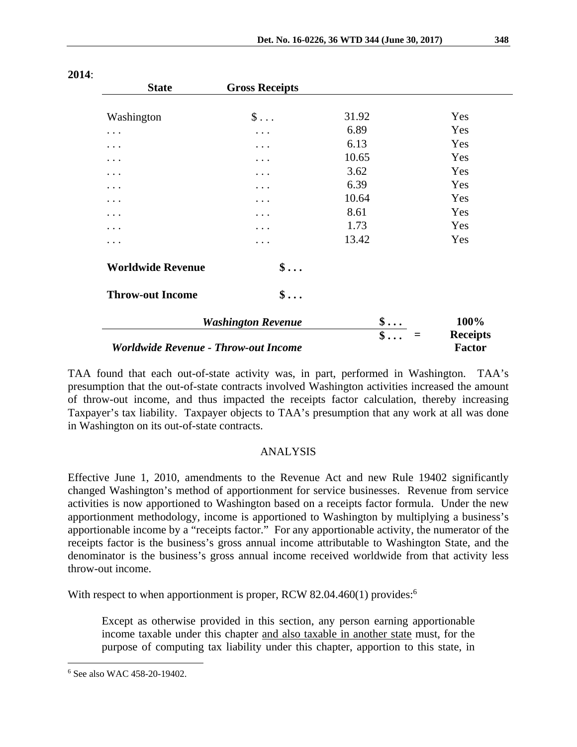| <b>State</b>                                                     | <b>Gross Receipts</b>     |            |                                  |
|------------------------------------------------------------------|---------------------------|------------|----------------------------------|
| Washington                                                       | $\$\ldots$                | 31.92      | Yes                              |
| .                                                                | .                         | 6.89       | Yes                              |
| $\cdots$                                                         | .                         | 6.13       | Yes                              |
| .                                                                | $\cdots$                  | 10.65      | Yes                              |
| $\cdots$                                                         | .                         | 3.62       | Yes                              |
| .                                                                | .                         | 6.39       | Yes                              |
| $\ddotsc$                                                        | .                         | 10.64      | Yes                              |
| .                                                                | $\cdots$                  | 8.61       | Yes                              |
| .                                                                | .                         | 1.73       | Yes                              |
| .                                                                | .                         | 13.42      | Yes                              |
| <b>Worldwide Revenue</b>                                         | $\$\ldots$                |            |                                  |
| <b>Throw-out Income</b>                                          | $\$\ldots$                |            |                                  |
|                                                                  | <b>Washington Revenue</b> | $\$\ldots$ | 100%                             |
| $\$\ldots$<br>$=$<br><b>Worldwide Revenue - Throw-out Income</b> |                           |            | <b>Receipts</b><br><b>Factor</b> |

TAA found that each out-of-state activity was, in part, performed in Washington. TAA's presumption that the out-of-state contracts involved Washington activities increased the amount of throw-out income, and thus impacted the receipts factor calculation, thereby increasing Taxpayer's tax liability. Taxpayer objects to TAA's presumption that any work at all was done in Washington on its out-of-state contracts.

### ANALYSIS

Effective June 1, 2010, amendments to the Revenue Act and new Rule 19402 significantly changed Washington's method of apportionment for service businesses. Revenue from service activities is now apportioned to Washington based on a receipts factor formula. Under the new apportionment methodology, income is apportioned to Washington by multiplying a business's apportionable income by a "receipts factor." For any apportionable activity, the numerator of the receipts factor is the business's gross annual income attributable to Washington State, and the denominator is the business's gross annual income received worldwide from that activity less throw-out income.

With respect to when apportionment is proper, RCW 82.04.460(1) provides:<sup>6</sup>

Except as otherwise provided in this section, any person earning apportionable income taxable under this chapter and also taxable in another state must, for the purpose of computing tax liability under this chapter, apportion to this state, in

 $\overline{a}$ 

<sup>6</sup> See also WAC 458-20-19402.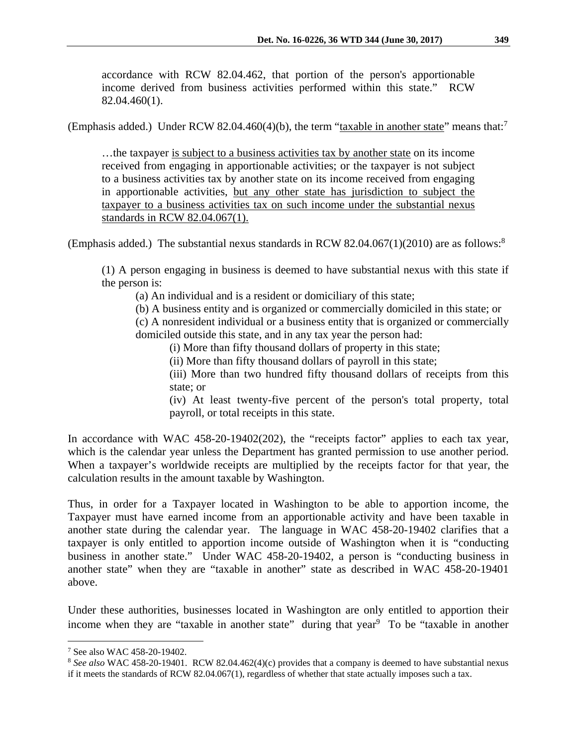accordance with RCW 82.04.462, that portion of the person's apportionable income derived from business activities performed within this state." RCW 82.04.460(1).

(Emphasis added.) Under RCW 82.04.460(4)(b), the term "taxable in another state" means that:<sup>7</sup>

…the taxpayer is subject to a business activities tax by another state on its income received from engaging in apportionable activities; or the taxpayer is not subject to a business activities tax by another state on its income received from engaging in apportionable activities, but any other state has jurisdiction to subject the taxpayer to a business activities tax on such income under the substantial nexus standards in RCW 82.04.067(1).

(Emphasis added.) The substantial nexus standards in RCW 82.04.067(1)(2010) are as follows:<sup>8</sup>

(1) A person engaging in business is deemed to have substantial nexus with this state if the person is:

(a) An individual and is a resident or domiciliary of this state;

(b) A business entity and is organized or commercially domiciled in this state; or (c) A nonresident individual or a business entity that is organized or commercially

domiciled outside this state, and in any tax year the person had:

(i) More than fifty thousand dollars of property in this state;

(ii) More than fifty thousand dollars of payroll in this state;

(iii) More than two hundred fifty thousand dollars of receipts from this state; or

(iv) At least twenty-five percent of the person's total property, total payroll, or total receipts in this state.

In accordance with WAC 458-20-19402(202), the "receipts factor" applies to each tax year, which is the calendar year unless the Department has granted permission to use another period. When a taxpayer's worldwide receipts are multiplied by the receipts factor for that year, the calculation results in the amount taxable by Washington.

Thus, in order for a Taxpayer located in Washington to be able to apportion income, the Taxpayer must have earned income from an apportionable activity and have been taxable in another state during the calendar year. The language in WAC 458-20-19402 clarifies that a taxpayer is only entitled to apportion income outside of Washington when it is "conducting business in another state." Under WAC 458-20-19402, a person is "conducting business in another state" when they are "taxable in another" state as described in WAC 458-20-19401 above.

Under these authorities, businesses located in Washington are only entitled to apportion their income when they are "taxable in another state" during that year<sup>9</sup> To be "taxable in another

<u>.</u>

<sup>7</sup> See also WAC 458-20-19402.

<sup>8</sup> *See also* WAC 458-20-19401. RCW 82.04.462(4)(c) provides that a company is deemed to have substantial nexus if it meets the standards of RCW 82.04.067(1), regardless of whether that state actually imposes such a tax.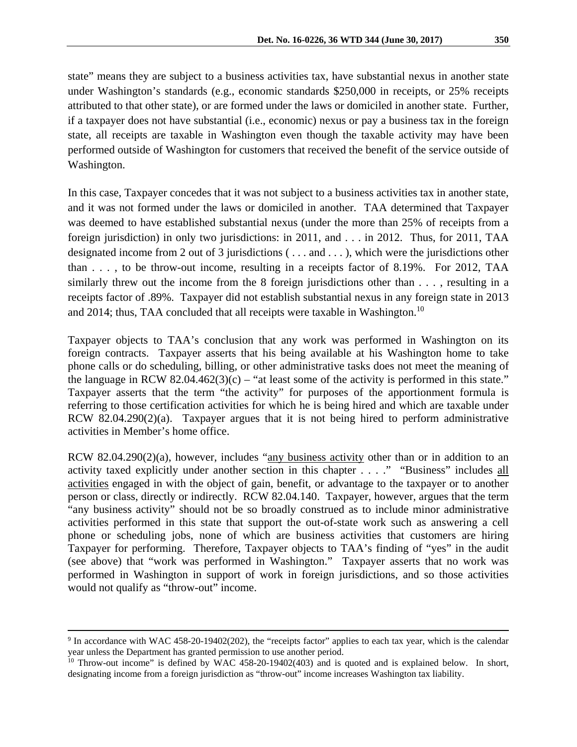state" means they are subject to a business activities tax, have substantial nexus in another state under Washington's standards (e.g., economic standards \$250,000 in receipts, or 25% receipts attributed to that other state), or are formed under the laws or domiciled in another state. Further, if a taxpayer does not have substantial (i.e., economic) nexus or pay a business tax in the foreign state, all receipts are taxable in Washington even though the taxable activity may have been performed outside of Washington for customers that received the benefit of the service outside of Washington.

In this case, Taxpayer concedes that it was not subject to a business activities tax in another state, and it was not formed under the laws or domiciled in another. TAA determined that Taxpayer was deemed to have established substantial nexus (under the more than 25% of receipts from a foreign jurisdiction) in only two jurisdictions: in 2011, and . . . in 2012. Thus, for 2011, TAA designated income from 2 out of 3 jurisdictions ( . . . and . . . ), which were the jurisdictions other than . . . , to be throw-out income, resulting in a receipts factor of 8.19%. For 2012, TAA similarly threw out the income from the 8 foreign jurisdictions other than . . . , resulting in a receipts factor of .89%. Taxpayer did not establish substantial nexus in any foreign state in 2013 and 2014; thus, TAA concluded that all receipts were taxable in Washington.<sup>10</sup>

Taxpayer objects to TAA's conclusion that any work was performed in Washington on its foreign contracts. Taxpayer asserts that his being available at his Washington home to take phone calls or do scheduling, billing, or other administrative tasks does not meet the meaning of the language in RCW 82.04.462(3)(c) – "at least some of the activity is performed in this state." Taxpayer asserts that the term "the activity" for purposes of the apportionment formula is referring to those certification activities for which he is being hired and which are taxable under RCW 82.04.290(2)(a). Taxpayer argues that it is not being hired to perform administrative activities in Member's home office.

RCW 82.04.290(2)(a), however, includes "any business activity other than or in addition to an activity taxed explicitly under another section in this chapter . . . ." "Business" includes all activities engaged in with the object of gain, benefit, or advantage to the taxpayer or to another person or class, directly or indirectly. RCW 82.04.140. Taxpayer, however, argues that the term "any business activity" should not be so broadly construed as to include minor administrative activities performed in this state that support the out-of-state work such as answering a cell phone or scheduling jobs, none of which are business activities that customers are hiring Taxpayer for performing. Therefore, Taxpayer objects to TAA's finding of "yes" in the audit (see above) that "work was performed in Washington." Taxpayer asserts that no work was performed in Washington in support of work in foreign jurisdictions, and so those activities would not qualify as "throw-out" income.

<sup>-&</sup>lt;br>9  $9$  In accordance with WAC 458-20-19402(202), the "receipts factor" applies to each tax year, which is the calendar year unless the Department has granted permission to use another period.

<sup>&</sup>lt;sup>10</sup> Throw-out income" is defined by WAC 458-20-19402(403) and is quoted and is explained below. In short, designating income from a foreign jurisdiction as "throw-out" income increases Washington tax liability.